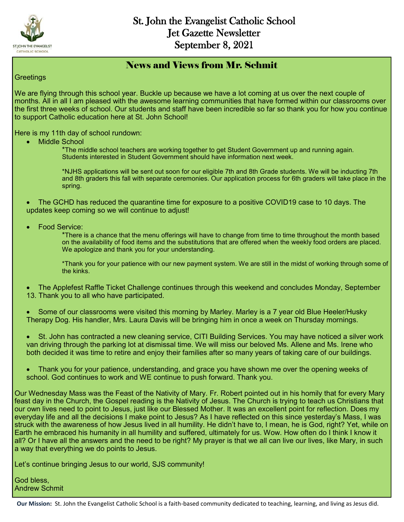

#### News and Views from Mr. Schmit

#### **Greetings**

We are flying through this school year. Buckle up because we have a lot coming at us over the next couple of months. All in all I am pleased with the awesome learning communities that have formed within our classrooms over the first three weeks of school. Our students and staff have been incredible so far so thank you for how you continue to support Catholic education here at St. John School!

Here is my 11th day of school rundown:

Middle School

\*The middle school teachers are working together to get Student Government up and running again. Students interested in Student Government should have information next week.

\*NJHS applications will be sent out soon for our eligible 7th and 8th Grade students. We will be inducting 7th and 8th graders this fall with separate ceremonies. Our application process for 6th graders will take place in the spring.

 The GCHD has reduced the quarantine time for exposure to a positive COVID19 case to 10 days. The updates keep coming so we will continue to adjust!

Food Service:

\*There is a chance that the menu offerings will have to change from time to time throughout the month based on the availability of food items and the substitutions that are offered when the weekly food orders are placed. We apologize and thank you for your understanding.

\*Thank you for your patience with our new payment system. We are still in the midst of working through some of the kinks.

 The Applefest Raffle Ticket Challenge continues through this weekend and concludes Monday, September 13. Thank you to all who have participated.

- Some of our classrooms were visited this morning by Marley. Marley is a 7 year old Blue Heeler/Husky Therapy Dog. His handler, Mrs. Laura Davis will be bringing him in once a week on Thursday mornings.
- St. John has contracted a new cleaning service, CITI Building Services. You may have noticed a silver work van driving through the parking lot at dismissal time. We will miss our beloved Ms. Allene and Ms. Irene who both decided it was time to retire and enjoy their families after so many years of taking care of our buildings.
- Thank you for your patience, understanding, and grace you have shown me over the opening weeks of school. God continues to work and WE continue to push forward. Thank you.

Our Wednesday Mass was the Feast of the Nativity of Mary. Fr. Robert pointed out in his homily that for every Mary feast day in the Church, the Gospel reading is the Nativity of Jesus. The Church is trying to teach us Christians that our own lives need to point to Jesus, just like our Blessed Mother. It was an excellent point for reflection. Does my everyday life and all the decisions I make point to Jesus? As I have reflected on this since yesterday's Mass, I was struck with the awareness of how Jesus lived in all humility. He didn't have to, I mean, he is God, right? Yet, while on Earth he embraced his humanity in all humility and suffered, ultimately for us. Wow. How often do I think I know it all? Or I have all the answers and the need to be right? My prayer is that we all can live our lives, like Mary, in such a way that everything we do points to Jesus.

Let's continue bringing Jesus to our world, SJS community!

God bless, Andrew Schmit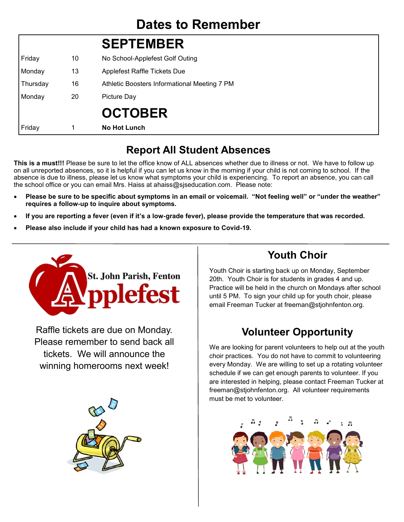# **SEPTEMBER**

| Friday   | 10 | No School-Applefest Golf Outing              |  |
|----------|----|----------------------------------------------|--|
| Monday   | 13 | Applefest Raffle Tickets Due                 |  |
| Thursday | 16 | Athletic Boosters Informational Meeting 7 PM |  |
| Monday   | 20 | Picture Day                                  |  |
|          |    | <b>OCTOBER</b>                               |  |
| Friday   | 1  | <b>No Hot Lunch</b>                          |  |

### **Report All Student Absences**

**This is a must!!!** Please be sure to let the office know of ALL absences whether due to illness or not. We have to follow up on all unreported absences, so it is helpful if you can let us know in the morning if your child is not coming to school. If the absence is due to illness, please let us know what symptoms your child is experiencing. To report an absence, you can call the school office or you can email Mrs. Haiss at ahaiss@sjseducation.com. Please note:

- **Please be sure to be specific about symptoms in an email or voicemail. "Not feeling well" or "under the weather" requires a follow-up to inquire about symptoms.**
- **If you are reporting a fever (even if it's a low-grade fever), please provide the temperature that was recorded.**
- **Please also include if your child has had a known exposure to Covid-19.**



Raffle tickets are due on Monday. Please remember to send back all tickets. We will announce the winning homerooms next week!



### **Youth Choir**

Youth Choir is starting back up on Monday, September 20th. Youth Choir is for students in grades 4 and up. Practice will be held in the church on Mondays after school until 5 PM. To sign your child up for youth choir, please email Freeman Tucker at freeman@stjohnfenton.org.

### **Volunteer Opportunity**

We are looking for parent volunteers to help out at the youth choir practices. You do not have to commit to volunteering every Monday. We are willing to set up a rotating volunteer schedule if we can get enough parents to volunteer. If you are interested in helping, please contact Freeman Tucker at freeman@stjohnfenton.org. All volunteer requirements must be met to volunteer.

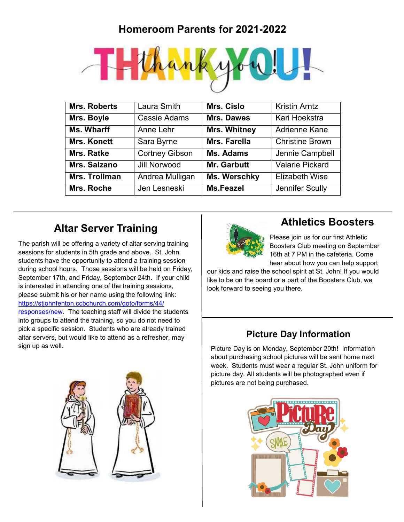### **Homeroom Parents for 2021-2022**



| <b>Mrs. Roberts</b>  | <b>Laura Smith</b>    | Mrs. Cislo          | <b>Kristin Arntz</b>   |
|----------------------|-----------------------|---------------------|------------------------|
| Mrs. Boyle           | Cassie Adams          | <b>Mrs. Dawes</b>   | Kari Hoekstra          |
| Ms. Wharff           | Anne Lehr             | <b>Mrs. Whitney</b> | Adrienne Kane          |
| <b>Mrs. Konett</b>   | Sara Byrne            | Mrs. Farella        | <b>Christine Brown</b> |
| Mrs. Ratke           | <b>Cortney Gibson</b> | <b>Ms. Adams</b>    | Jennie Campbell        |
| Mrs. Salzano         | Jill Norwood          | Mr. Garbutt         | <b>Valarie Pickard</b> |
| <b>Mrs. Trollman</b> | Andrea Mulligan       | Ms. Werschky        | <b>Elizabeth Wise</b>  |
| Mrs. Roche           | Jen Lesneski          | <b>Ms.Feazel</b>    | Jennifer Scully        |

### **Altar Server Training**

The parish will be offering a variety of altar serving training sessions for students in 5th grade and above. St. John students have the opportunity to attend a training session during school hours. Those sessions will be held on Friday, September 17th, and Friday, September 24th. If your child is interested in attending one of the training sessions, please submit his or her name using the following link: [https://stjohnfenton.ccbchurch.com/goto/forms/44/](http://track.spe.schoolmessenger.com/f/a/3372Mr--Wyb1KPpMQ5dFgg~~/AAAAAQA~/RgRjENYAP0Q-aHR0cHM6Ly9zdGpvaG5mZW50b24uY2NiY2h1cmNoLmNvbS9nb3RvL2Zvcm1zLzQ0L3Jlc3BvbnNlcy9uZXdXB3NjaG9vbG1CCmEsgKIvYfy4QaRSEWVld2lzZTFAZ21haWwuY29tWAQAAAAB) [responses/new.](http://track.spe.schoolmessenger.com/f/a/3372Mr--Wyb1KPpMQ5dFgg~~/AAAAAQA~/RgRjENYAP0Q-aHR0cHM6Ly9zdGpvaG5mZW50b24uY2NiY2h1cmNoLmNvbS9nb3RvL2Zvcm1zLzQ0L3Jlc3BvbnNlcy9uZXdXB3NjaG9vbG1CCmEsgKIvYfy4QaRSEWVld2lzZTFAZ21haWwuY29tWAQAAAAB) The teaching staff will divide the students into groups to attend the training, so you do not need to pick a specific session. Students who are already trained altar servers, but would like to attend as a refresher, may sign up as well.





#### **Athletics Boosters**

Please join us for our first Athletic Boosters Club meeting on September 16th at 7 PM in the cafeteria. Come hear about how you can help support

our kids and raise the school spirit at St. John! If you would like to be on the board or a part of the Boosters Club, we look forward to seeing you there.

#### **Picture Day Information**

Picture Day is on Monday, September 20th! Information about purchasing school pictures will be sent home next week. Students must wear a regular St. John uniform for picture day. All students will be photographed even if pictures are not being purchased.